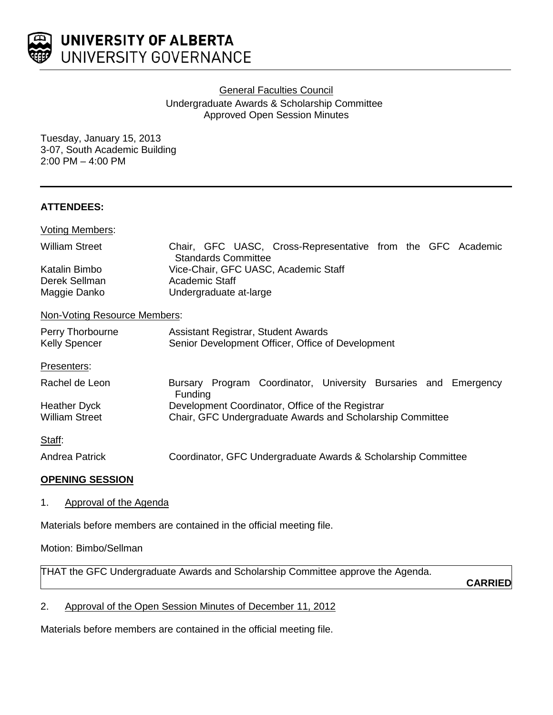

**General Faculties Council** 

Undergraduate Awards & Scholarship Committee Approved Open Session Minutes

Tuesday, January 15, 2013 3-07, South Academic Building 2:00 PM – 4:00 PM

## **ATTENDEES:**

| <b>Voting Members:</b>                   |                                                                                           |
|------------------------------------------|-------------------------------------------------------------------------------------------|
| <b>William Street</b>                    | Chair, GFC UASC, Cross-Representative from the GFC Academic<br><b>Standards Committee</b> |
| Katalin Bimbo                            | Vice-Chair, GFC UASC, Academic Staff                                                      |
| Derek Sellman                            | Academic Staff                                                                            |
| Maggie Danko                             | Undergraduate at-large                                                                    |
| Non-Voting Resource Members:             |                                                                                           |
| Perry Thorbourne<br><b>Kelly Spencer</b> | Assistant Registrar, Student Awards<br>Senior Development Officer, Office of Development  |
| Presenters:                              |                                                                                           |
| Rachel de Leon                           | Bursary Program Coordinator, University Bursaries and Emergency<br>Funding                |
| Heather Dyck                             | Development Coordinator, Office of the Registrar                                          |
| <b>William Street</b>                    | Chair, GFC Undergraduate Awards and Scholarship Committee                                 |
| Staff:                                   |                                                                                           |
| Andrea Patrick                           | Coordinator, GFC Undergraduate Awards & Scholarship Committee                             |
|                                          |                                                                                           |

#### **OPENING SESSION**

1. Approval of the Agenda

Materials before members are contained in the official meeting file.

# Motion: Bimbo/Sellman

THAT the GFC Undergraduate Awards and Scholarship Committee approve the Agenda.

**CARRIED**

2. Approval of the Open Session Minutes of December 11, 2012

Materials before members are contained in the official meeting file.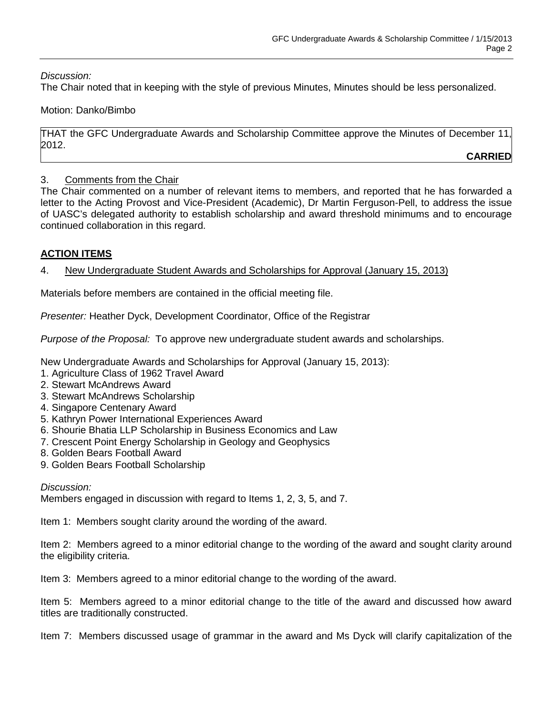*Discussion:* 

The Chair noted that in keeping with the style of previous Minutes, Minutes should be less personalized.

# Motion: Danko/Bimbo

THAT the GFC Undergraduate Awards and Scholarship Committee approve the Minutes of December 11, 2012.

**CARRIED**

# 3. Comments from the Chair

The Chair commented on a number of relevant items to members, and reported that he has forwarded a letter to the Acting Provost and Vice-President (Academic), Dr Martin Ferguson-Pell, to address the issue of UASC's delegated authority to establish scholarship and award threshold minimums and to encourage continued collaboration in this regard.

# **ACTION ITEMS**

## 4. New Undergraduate Student Awards and Scholarships for Approval (January 15, 2013)

Materials before members are contained in the official meeting file.

*Presenter:* Heather Dyck, Development Coordinator, Office of the Registrar

*Purpose of the Proposal:* To approve new undergraduate student awards and scholarships.

New Undergraduate Awards and Scholarships for Approval (January 15, 2013):

- 1. Agriculture Class of 1962 Travel Award
- 2. Stewart McAndrews Award
- 3. Stewart McAndrews Scholarship
- 4. Singapore Centenary Award
- 5. Kathryn Power International Experiences Award
- 6. Shourie Bhatia LLP Scholarship in Business Economics and Law
- 7. Crescent Point Energy Scholarship in Geology and Geophysics
- 8. Golden Bears Football Award
- 9. Golden Bears Football Scholarship

*Discussion:*

Members engaged in discussion with regard to Items 1, 2, 3, 5, and 7.

Item 1: Members sought clarity around the wording of the award.

Item 2: Members agreed to a minor editorial change to the wording of the award and sought clarity around the eligibility criteria.

Item 3: Members agreed to a minor editorial change to the wording of the award.

Item 5: Members agreed to a minor editorial change to the title of the award and discussed how award titles are traditionally constructed.

Item 7: Members discussed usage of grammar in the award and Ms Dyck will clarify capitalization of the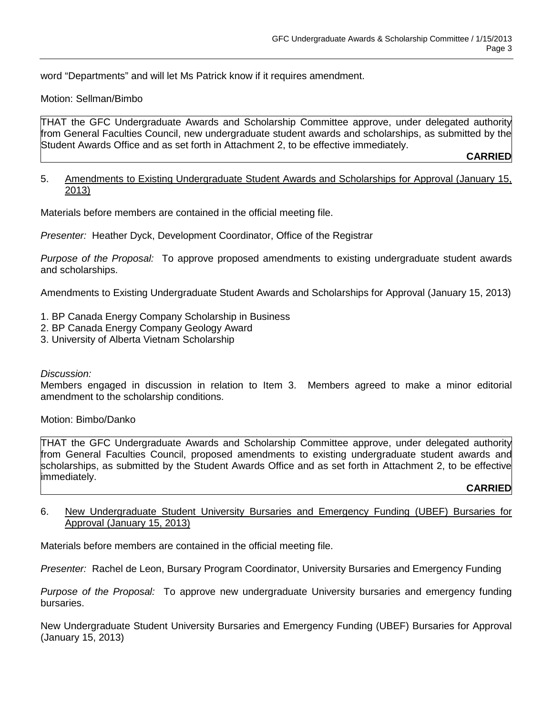word "Departments" and will let Ms Patrick know if it requires amendment.

#### Motion: Sellman/Bimbo

THAT the GFC Undergraduate Awards and Scholarship Committee approve, under delegated authority from General Faculties Council, new undergraduate student awards and scholarships, as submitted by the Student Awards Office and as set forth in Attachment 2, to be effective immediately.

**CARRIED**

#### 5. Amendments to Existing Undergraduate Student Awards and Scholarships for Approval (January 15, 2013)

Materials before members are contained in the official meeting file.

*Presenter:* Heather Dyck, Development Coordinator, Office of the Registrar

*Purpose of the Proposal:* To approve proposed amendments to existing undergraduate student awards and scholarships.

Amendments to Existing Undergraduate Student Awards and Scholarships for Approval (January 15, 2013)

- 1. BP Canada Energy Company Scholarship in Business
- 2. BP Canada Energy Company Geology Award
- 3. University of Alberta Vietnam Scholarship

#### *Discussion:*

Members engaged in discussion in relation to Item 3. Members agreed to make a minor editorial amendment to the scholarship conditions.

Motion: Bimbo/Danko

THAT the GFC Undergraduate Awards and Scholarship Committee approve, under delegated authority from General Faculties Council, proposed amendments to existing undergraduate student awards and scholarships, as submitted by the Student Awards Office and as set forth in Attachment 2, to be effective immediately.

# **CARRIED**

## 6. New Undergraduate Student University Bursaries and Emergency Funding (UBEF) Bursaries for Approval (January 15, 2013)

Materials before members are contained in the official meeting file.

*Presenter:* Rachel de Leon, Bursary Program Coordinator, University Bursaries and Emergency Funding

*Purpose of the Proposal:* To approve new undergraduate University bursaries and emergency funding bursaries.

New Undergraduate Student University Bursaries and Emergency Funding (UBEF) Bursaries for Approval (January 15, 2013)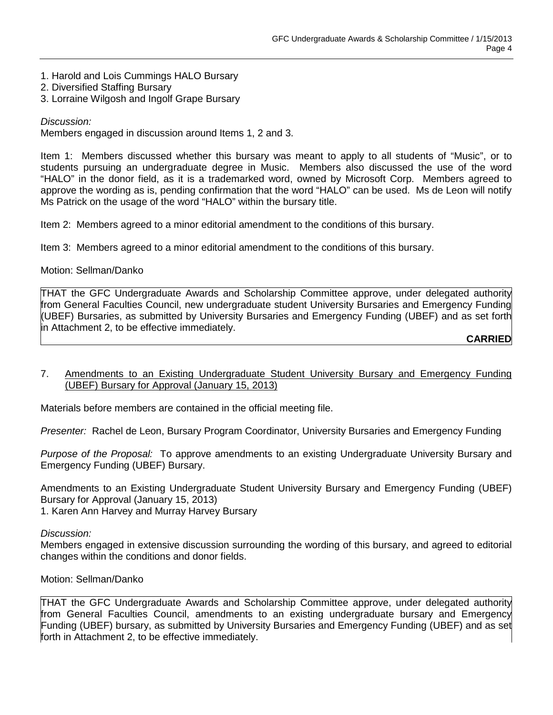- 1. Harold and Lois Cummings HALO Bursary
- 2. Diversified Staffing Bursary
- 3. Lorraine Wilgosh and Ingolf Grape Bursary

*Discussion:*

Members engaged in discussion around Items 1, 2 and 3.

Item 1: Members discussed whether this bursary was meant to apply to all students of "Music", or to students pursuing an undergraduate degree in Music. Members also discussed the use of the word "HALO" in the donor field, as it is a trademarked word, owned by Microsoft Corp. Members agreed to approve the wording as is, pending confirmation that the word "HALO" can be used. Ms de Leon will notify Ms Patrick on the usage of the word "HALO" within the bursary title.

Item 2: Members agreed to a minor editorial amendment to the conditions of this bursary.

Item 3: Members agreed to a minor editorial amendment to the conditions of this bursary.

## Motion: Sellman/Danko

THAT the GFC Undergraduate Awards and Scholarship Committee approve, under delegated authority from General Faculties Council, new undergraduate student University Bursaries and Emergency Funding (UBEF) Bursaries, as submitted by University Bursaries and Emergency Funding (UBEF) and as set forth in Attachment 2, to be effective immediately.

**CARRIED**

## 7. Amendments to an Existing Undergraduate Student University Bursary and Emergency Funding (UBEF) Bursary for Approval (January 15, 2013)

Materials before members are contained in the official meeting file.

*Presenter:* Rachel de Leon, Bursary Program Coordinator, University Bursaries and Emergency Funding

*Purpose of the Proposal:* To approve amendments to an existing Undergraduate University Bursary and Emergency Funding (UBEF) Bursary.

Amendments to an Existing Undergraduate Student University Bursary and Emergency Funding (UBEF) Bursary for Approval (January 15, 2013)

1. Karen Ann Harvey and Murray Harvey Bursary

#### *Discussion:*

Members engaged in extensive discussion surrounding the wording of this bursary, and agreed to editorial changes within the conditions and donor fields.

Motion: Sellman/Danko

THAT the GFC Undergraduate Awards and Scholarship Committee approve, under delegated authority from General Faculties Council, amendments to an existing undergraduate bursary and Emergency Funding (UBEF) bursary, as submitted by University Bursaries and Emergency Funding (UBEF) and as set forth in Attachment 2, to be effective immediately.